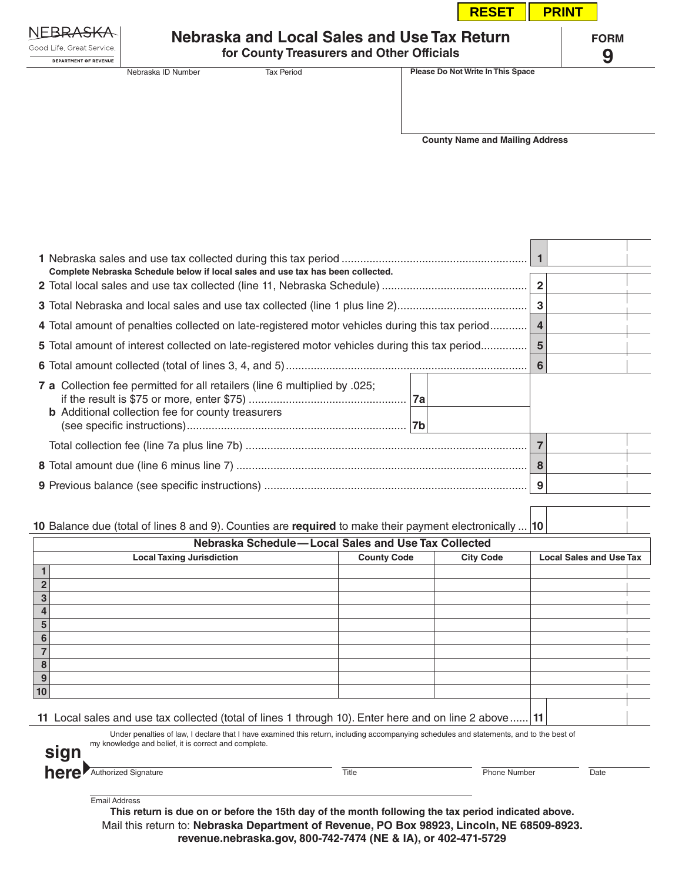|                                                           |                                                                                          |                   |                                        | <b>RESET</b>                      | <b>PRINT</b>     |  |
|-----------------------------------------------------------|------------------------------------------------------------------------------------------|-------------------|----------------------------------------|-----------------------------------|------------------|--|
| Good Life, Great Service,<br><b>DEPARTMENT OF REVENUE</b> | Nebraska and Local Sales and Use Tax Return<br>for County Treasurers and Other Officials |                   |                                        |                                   | <b>FORM</b><br>9 |  |
|                                                           | Nebraska ID Number                                                                       | <b>Tax Period</b> |                                        | Please Do Not Write In This Space |                  |  |
|                                                           |                                                                                          |                   | <b>County Name and Mailing Address</b> |                                   |                  |  |

| Complete Nebraska Schedule below if local sales and use tax has been collected.                                                        |  |  |  |
|----------------------------------------------------------------------------------------------------------------------------------------|--|--|--|
|                                                                                                                                        |  |  |  |
| 4 Total amount of penalties collected on late-registered motor vehicles during this tax period   4                                     |  |  |  |
| <b>5</b> Total amount of interest collected on late-registered motor vehicles during this tax period                                   |  |  |  |
|                                                                                                                                        |  |  |  |
| 7 a Collection fee permitted for all retailers (line 6 multiplied by .025;<br><b>b</b> Additional collection fee for county treasurers |  |  |  |
|                                                                                                                                        |  |  |  |
|                                                                                                                                        |  |  |  |
|                                                                                                                                        |  |  |  |
|                                                                                                                                        |  |  |  |

## **10** Balance due (total of lines 8 and 9). Counties are **required** to make their payment electronically ... **10**

| Nebraska Schedule-Local Sales and Use Tax Collected |  |                    |                  |                                |  |  |
|-----------------------------------------------------|--|--------------------|------------------|--------------------------------|--|--|
| <b>Local Taxing Jurisdiction</b>                    |  | <b>County Code</b> | <b>City Code</b> | <b>Local Sales and Use Tax</b> |  |  |
|                                                     |  |                    |                  |                                |  |  |
| $\mathbf{2}$                                        |  |                    |                  |                                |  |  |
| 3                                                   |  |                    |                  |                                |  |  |
| 4                                                   |  |                    |                  |                                |  |  |
| 5                                                   |  |                    |                  |                                |  |  |
| 6                                                   |  |                    |                  |                                |  |  |
|                                                     |  |                    |                  |                                |  |  |
| 8                                                   |  |                    |                  |                                |  |  |
| 9                                                   |  |                    |                  |                                |  |  |
| 10                                                  |  |                    |                  |                                |  |  |
|                                                     |  |                    |                  |                                |  |  |

**11** Local sales and use tax collected (total of lines 1 through 10). Enter here and on line 2 above...... **11**

Under penalties of law, I declare that I have examined this return, including accompanying schedules and statements, and to the best of my knowledge and belief, it is correct and complete. **sign**

| <b>here</b> Authorized Signature |  |
|----------------------------------|--|
|                                  |  |

e **Authorized Signature Signature Title Title** Phone Number Date

**The Company** 

| <b>Email Address</b> |  |
|----------------------|--|
|----------------------|--|

**This return is due on or before the 15th day of the month following the tax period indicated above.** Mail this return to: **Nebraska Department of Revenue, PO Box 98923, Lincoln, NE 68509-8923. revenue.nebraska.gov, 800-742-7474 (NE & IA), or 402-471-5729**